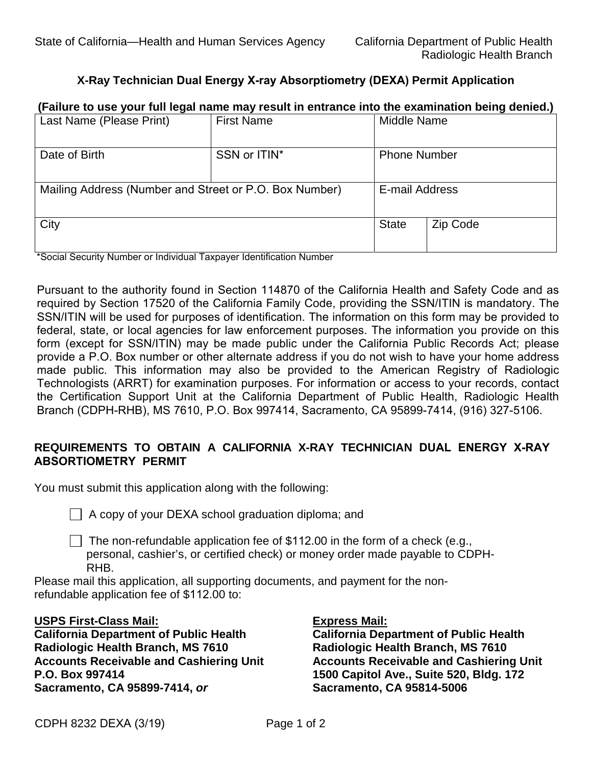# **X-Ray Technician Dual Energy X-ray Absorptiometry (DEXA) Permit Application**

# **(Failure to use your full legal name may result in entrance into the examination being denied.)**<br>Last Name (Please Print) | First Name | Middle Name Last Name (Please Print) Date of Birth SSN or ITIN<sup>\*</sup> Phone Number Mailing Address (Number and Street or P.O. Box Number) | E-mail Address City **State Act 2** City State Act 2 Code \*Social Security Number or Individual Taxpayer Identification Number

SSN/ITIN will be used for purposes of identification. The information on this form may be provided to form (except for SSN/ITIN) may be made public under the California Public Records Act; please Pursuant to the authority found in Section 114870 of the California Health and Safety Code and as required by Section 17520 of the California Family Code, providing the SSN/ITIN is mandatory. The federal, state, or local agencies for law enforcement purposes. The information you provide on this provide a P.O. Box number or other alternate address if you do not wish to have your home address made public. This information may also be provided to the American Registry of Radiologic Technologists (ARRT) for examination purposes. For information or access to your records, contact the Certification Support Unit at the California Department of Public Health, Radiologic Health Branch (CDPH-RHB), MS 7610, P.O. Box 997414, Sacramento, CA 95899-7414, (916) 327-5106.

## **ABSORTIOMETRY PERMIT REQUIREMENTS TO OBTAIN A CALIFORNIA X-RAY TECHNICIAN DUAL ENERGY X-RAY**

 You must submit this application along with the following: I

 $\Box$  A copy of your DEXA school graduation diploma; and

The non-refundable application fee of  $$112.00$  in the form of a check (e.g., personal, cashier's, or certified check) or money order made payable to CDPH-RHB.

Please mail this application, all supporting documents, and payment for the nonrefundable application fee of \$112.00 to:

### **USPS First-Class Mail:**

**California Department of Public Health Radiologic Health Branch, MS 7610 Accounts Receivable and Cashiering Unit P.O. Box 997414 Sacramento, CA 95899-7414,** *or* 

#### **Express Mail:**

**California Department of Public Health Radiologic Health Branch, MS 7610 Accounts Receivable and Cashiering Unit 1500 Capitol Ave., Suite 520, Bldg. 172 Sacramento, CA 95814-5006**